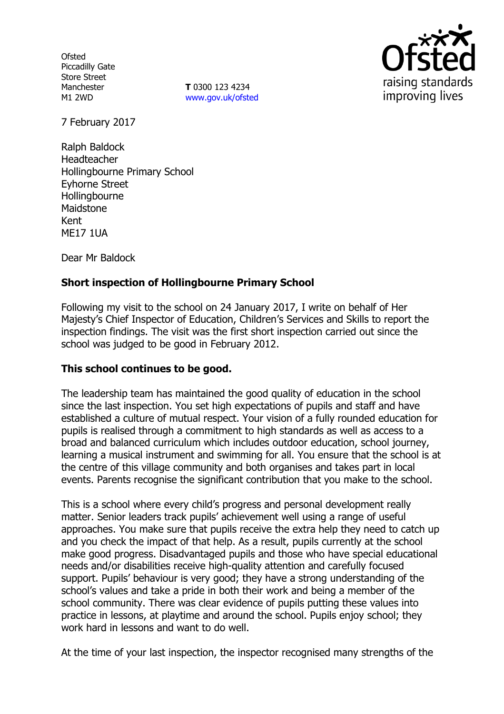**Ofsted** Piccadilly Gate Store Street Manchester M1 2WD

**T** 0300 123 4234 www.gov.uk/ofsted



7 February 2017

Ralph Baldock Headteacher Hollingbourne Primary School Eyhorne Street **Hollingbourne** Maidstone Kent ME17 1UA

Dear Mr Baldock

# **Short inspection of Hollingbourne Primary School**

Following my visit to the school on 24 January 2017, I write on behalf of Her Majesty's Chief Inspector of Education, Children's Services and Skills to report the inspection findings. The visit was the first short inspection carried out since the school was judged to be good in February 2012.

# **This school continues to be good.**

The leadership team has maintained the good quality of education in the school since the last inspection. You set high expectations of pupils and staff and have established a culture of mutual respect. Your vision of a fully rounded education for pupils is realised through a commitment to high standards as well as access to a broad and balanced curriculum which includes outdoor education, school journey, learning a musical instrument and swimming for all. You ensure that the school is at the centre of this village community and both organises and takes part in local events. Parents recognise the significant contribution that you make to the school.

This is a school where every child's progress and personal development really matter. Senior leaders track pupils' achievement well using a range of useful approaches. You make sure that pupils receive the extra help they need to catch up and you check the impact of that help. As a result, pupils currently at the school make good progress. Disadvantaged pupils and those who have special educational needs and/or disabilities receive high-quality attention and carefully focused support. Pupils' behaviour is very good; they have a strong understanding of the school's values and take a pride in both their work and being a member of the school community. There was clear evidence of pupils putting these values into practice in lessons, at playtime and around the school. Pupils enjoy school; they work hard in lessons and want to do well.

At the time of your last inspection, the inspector recognised many strengths of the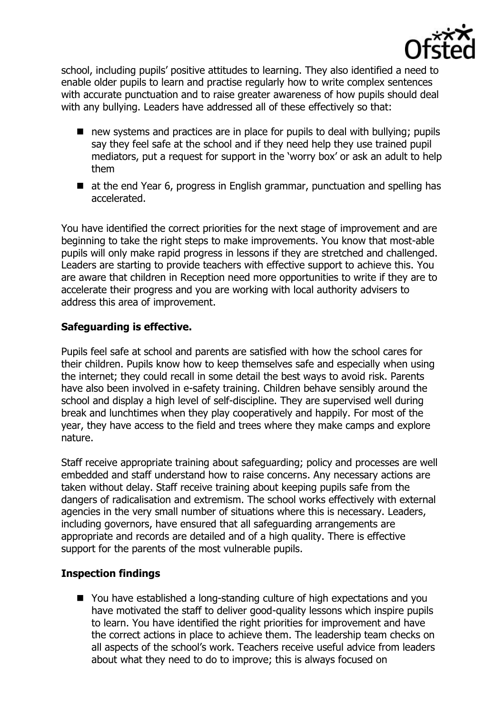

school, including pupils' positive attitudes to learning. They also identified a need to enable older pupils to learn and practise regularly how to write complex sentences with accurate punctuation and to raise greater awareness of how pupils should deal with any bullying. Leaders have addressed all of these effectively so that:

- new systems and practices are in place for pupils to deal with bullying; pupils say they feel safe at the school and if they need help they use trained pupil mediators, put a request for support in the 'worry box' or ask an adult to help them
- at the end Year 6, progress in English grammar, punctuation and spelling has accelerated.

You have identified the correct priorities for the next stage of improvement and are beginning to take the right steps to make improvements. You know that most-able pupils will only make rapid progress in lessons if they are stretched and challenged. Leaders are starting to provide teachers with effective support to achieve this. You are aware that children in Reception need more opportunities to write if they are to accelerate their progress and you are working with local authority advisers to address this area of improvement.

## **Safeguarding is effective.**

Pupils feel safe at school and parents are satisfied with how the school cares for their children. Pupils know how to keep themselves safe and especially when using the internet; they could recall in some detail the best ways to avoid risk. Parents have also been involved in e-safety training. Children behave sensibly around the school and display a high level of self-discipline. They are supervised well during break and lunchtimes when they play cooperatively and happily. For most of the year, they have access to the field and trees where they make camps and explore nature.

Staff receive appropriate training about safeguarding; policy and processes are well embedded and staff understand how to raise concerns. Any necessary actions are taken without delay. Staff receive training about keeping pupils safe from the dangers of radicalisation and extremism. The school works effectively with external agencies in the very small number of situations where this is necessary. Leaders, including governors, have ensured that all safeguarding arrangements are appropriate and records are detailed and of a high quality. There is effective support for the parents of the most vulnerable pupils.

### **Inspection findings**

■ You have established a long-standing culture of high expectations and you have motivated the staff to deliver good-quality lessons which inspire pupils to learn. You have identified the right priorities for improvement and have the correct actions in place to achieve them. The leadership team checks on all aspects of the school's work. Teachers receive useful advice from leaders about what they need to do to improve; this is always focused on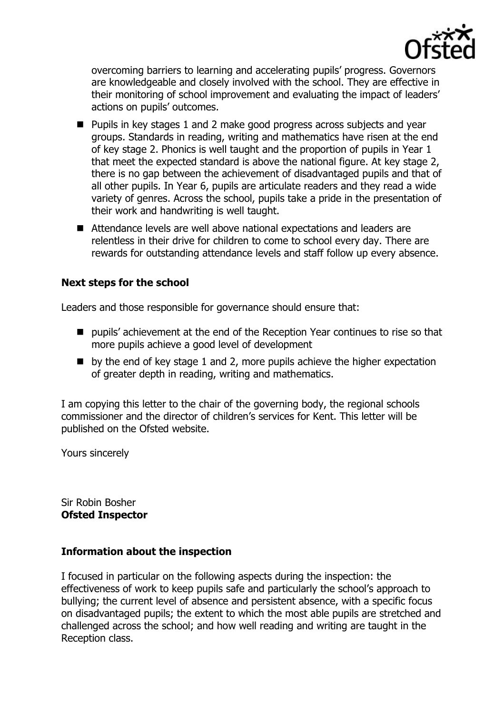

overcoming barriers to learning and accelerating pupils' progress. Governors are knowledgeable and closely involved with the school. They are effective in their monitoring of school improvement and evaluating the impact of leaders' actions on pupils' outcomes.

- Pupils in key stages 1 and 2 make good progress across subjects and year groups. Standards in reading, writing and mathematics have risen at the end of key stage 2. Phonics is well taught and the proportion of pupils in Year 1 that meet the expected standard is above the national figure. At key stage 2, there is no gap between the achievement of disadvantaged pupils and that of all other pupils. In Year 6, pupils are articulate readers and they read a wide variety of genres. Across the school, pupils take a pride in the presentation of their work and handwriting is well taught.
- Attendance levels are well above national expectations and leaders are relentless in their drive for children to come to school every day. There are rewards for outstanding attendance levels and staff follow up every absence.

### **Next steps for the school**

Leaders and those responsible for governance should ensure that:

- pupils' achievement at the end of the Reception Year continues to rise so that more pupils achieve a good level of development
- $\blacksquare$  by the end of key stage 1 and 2, more pupils achieve the higher expectation of greater depth in reading, writing and mathematics.

I am copying this letter to the chair of the governing body, the regional schools commissioner and the director of children's services for Kent. This letter will be published on the Ofsted website.

Yours sincerely

Sir Robin Bosher **Ofsted Inspector**

### **Information about the inspection**

I focused in particular on the following aspects during the inspection: the effectiveness of work to keep pupils safe and particularly the school's approach to bullying; the current level of absence and persistent absence, with a specific focus on disadvantaged pupils; the extent to which the most able pupils are stretched and challenged across the school; and how well reading and writing are taught in the Reception class.